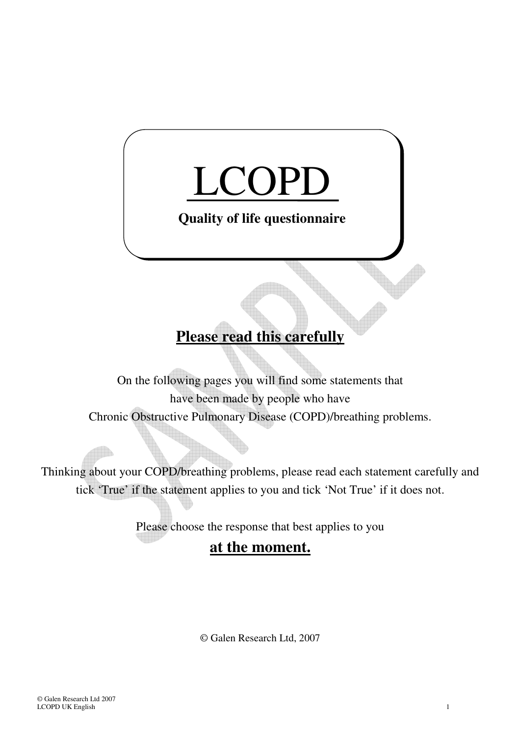## LCOPD **Quality of life questionnaire**

## **Please read this carefully**

On the following pages you will find some statements that have been made by people who have Chronic Obstructive Pulmonary Disease (COPD)/breathing problems.

Thinking about your COPD/breathing problems, please read each statement carefully and tick 'True' if the statement applies to you and tick 'Not True' if it does not.

Please choose the response that best applies to you

## **at the moment.**

© Galen Research Ltd, 2007